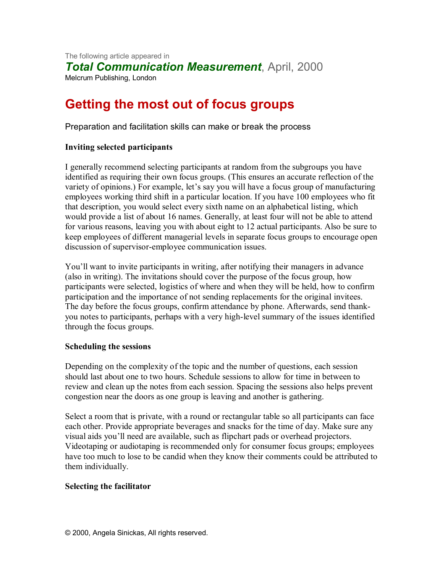The following article appeared in *Total Communication Measurement*, April, 2000 Melcrum Publishing, London

# **Getting the most out of focus groups**

Preparation and facilitation skills can make or break the process

## **Inviting selected participants**

I generally recommend selecting participants at random from the subgroups you have identified as requiring their own focus groups. (This ensures an accurate reflection of the variety of opinions.) For example, let's say you will have a focus group of manufacturing employees working third shift in a particular location. If you have 100 employees who fit that description, you would select every sixth name on an alphabetical listing, which would provide a list of about 16 names. Generally, at least four will not be able to attend for various reasons, leaving you with about eight to 12 actual participants. Also be sure to keep employees of different managerial levels in separate focus groups to encourage open discussion of supervisor-employee communication issues.

You'll want to invite participants in writing, after notifying their managers in advance (also in writing). The invitations should cover the purpose of the focus group, how participants were selected, logistics of where and when they will be held, how to confirm participation and the importance of not sending replacements for the original invitees. The day before the focus groups, confirm attendance by phone. Afterwards, send thankyou notes to participants, perhaps with a very high-level summary of the issues identified through the focus groups.

#### **Scheduling the sessions**

Depending on the complexity of the topic and the number of questions, each session should last about one to two hours. Schedule sessions to allow for time in between to review and clean up the notes from each session. Spacing the sessions also helps prevent congestion near the doors as one group is leaving and another is gathering.

Select a room that is private, with a round or rectangular table so all participants can face each other. Provide appropriate beverages and snacks for the time of day. Make sure any visual aids you'll need are available, such as flipchart pads or overhead projectors. Videotaping or audiotaping is recommended only for consumer focus groups; employees have too much to lose to be candid when they know their comments could be attributed to them individually.

## **Selecting the facilitator**